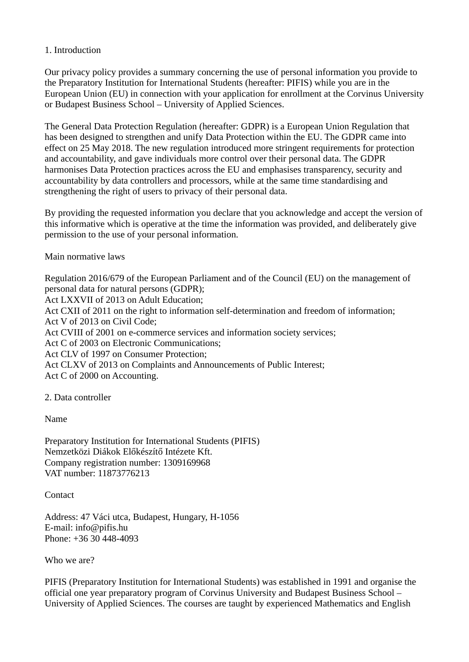### 1. Introduction

Our privacy policy provides a summary concerning the use of personal information you provide to the Preparatory Institution for International Students (hereafter: PIFIS) while you are in the European Union (EU) in connection with your application for enrollment at the Corvinus University or Budapest Business School – University of Applied Sciences.

The General Data Protection Regulation (hereafter: GDPR) is a European Union Regulation that has been designed to strengthen and unify Data Protection within the EU. The GDPR came into effect on 25 May 2018. The new regulation introduced more stringent requirements for protection and accountability, and gave individuals more control over their personal data. The GDPR harmonises Data Protection practices across the EU and emphasises transparency, security and accountability by data controllers and processors, while at the same time standardising and strengthening the right of users to privacy of their personal data.

By providing the requested information you declare that you acknowledge and accept the version of this informative which is operative at the time the information was provided, and deliberately give permission to the use of your personal information.

#### Main normative laws

Regulation 2016/679 of the European Parliament and of the Council (EU) on the management of personal data for natural persons (GDPR); Act LXXVII of 2013 on Adult Education; Act CXII of 2011 on the right to information self-determination and freedom of information; Act V of 2013 on Civil Code; Act CVIII of 2001 on e-commerce services and information society services; Act C of 2003 on Electronic Communications; Act CLV of 1997 on Consumer Protection; Act CLXV of 2013 on Complaints and Announcements of Public Interest; Act C of 2000 on Accounting.

2. Data controller

Name

Preparatory Institution for International Students (PIFIS) Nemzetközi Diákok Előkészítő Intézete Kft. Company registration number: 1309169968 VAT number: 11873776213

Contact

Address: 47 Váci utca, Budapest, Hungary, H-1056 E-mail: info@pifis.hu Phone: +36 30 448-4093

Who we are?

PIFIS (Preparatory Institution for International Students) was established in 1991 and organise the official one year preparatory program of Corvinus University and Budapest Business School – University of Applied Sciences. The courses are taught by experienced Mathematics and English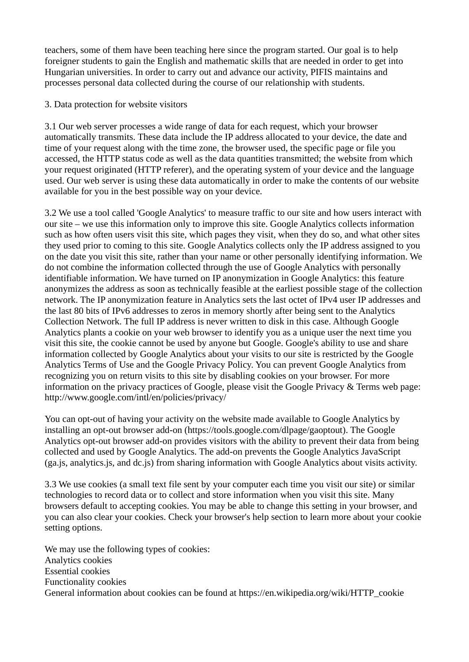teachers, some of them have been teaching here since the program started. Our goal is to help foreigner students to gain the English and mathematic skills that are needed in order to get into Hungarian universities. In order to carry out and advance our activity, PIFIS maintains and processes personal data collected during the course of our relationship with students.

3. Data protection for website visitors

3.1 Our web server processes a wide range of data for each request, which your browser automatically transmits. These data include the IP address allocated to your device, the date and time of your request along with the time zone, the browser used, the specific page or file you accessed, the HTTP status code as well as the data quantities transmitted; the website from which your request originated (HTTP referer), and the operating system of your device and the language used. Our web server is using these data automatically in order to make the contents of our website available for you in the best possible way on your device.

3.2 We use a tool called 'Google Analytics' to measure traffic to our site and how users interact with our site – we use this information only to improve this site. Google Analytics collects information such as how often users visit this site, which pages they visit, when they do so, and what other sites they used prior to coming to this site. Google Analytics collects only the IP address assigned to you on the date you visit this site, rather than your name or other personally identifying information. We do not combine the information collected through the use of Google Analytics with personally identifiable information. We have turned on IP anonymization in Google Analytics: this feature anonymizes the address as soon as technically feasible at the earliest possible stage of the collection network. The IP anonymization feature in Analytics sets the last octet of IPv4 user IP addresses and the last 80 bits of IPv6 addresses to zeros in memory shortly after being sent to the Analytics Collection Network. The full IP address is never written to disk in this case. Although Google Analytics plants a cookie on your web browser to identify you as a unique user the next time you visit this site, the cookie cannot be used by anyone but Google. Google's ability to use and share information collected by Google Analytics about your visits to our site is restricted by the Google Analytics Terms of Use and the Google Privacy Policy. You can prevent Google Analytics from recognizing you on return visits to this site by disabling cookies on your browser. For more information on the privacy practices of Google, please visit the Google Privacy & Terms web page: http://www.google.com/intl/en/policies/privacy/

You can opt-out of having your activity on the website made available to Google Analytics by installing an opt-out browser add-on (https://tools.google.com/dlpage/gaoptout). The Google Analytics opt-out browser add-on provides visitors with the ability to prevent their data from being collected and used by Google Analytics. The add-on prevents the Google Analytics JavaScript (ga.js, analytics.js, and dc.js) from sharing information with Google Analytics about visits activity.

3.3 We use cookies (a small text file sent by your computer each time you visit our site) or similar technologies to record data or to collect and store information when you visit this site. Many browsers default to accepting cookies. You may be able to change this setting in your browser, and you can also clear your cookies. Check your browser's help section to learn more about your cookie setting options.

We may use the following types of cookies: Analytics cookies Essential cookies Functionality cookies General information about cookies can be found at https://en.wikipedia.org/wiki/HTTP\_cookie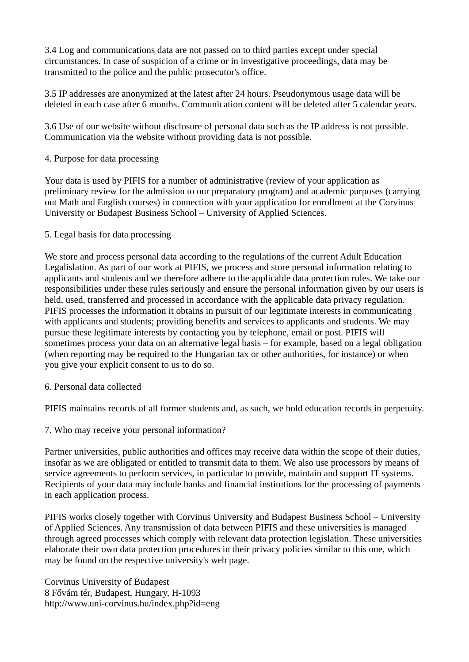3.4 Log and communications data are not passed on to third parties except under special circumstances. In case of suspicion of a crime or in investigative proceedings, data may be transmitted to the police and the public prosecutor's office.

3.5 IP addresses are anonymized at the latest after 24 hours. Pseudonymous usage data will be deleted in each case after 6 months. Communication content will be deleted after 5 calendar years.

3.6 Use of our website without disclosure of personal data such as the IP address is not possible. Communication via the website without providing data is not possible.

## 4. Purpose for data processing

Your data is used by PIFIS for a number of administrative (review of your application as preliminary review for the admission to our preparatory program) and academic purposes (carrying out Math and English courses) in connection with your application for enrollment at the Corvinus University or Budapest Business School – University of Applied Sciences.

#### 5. Legal basis for data processing

We store and process personal data according to the regulations of the current Adult Education Legalislation. As part of our work at PIFIS, we process and store personal information relating to applicants and students and we therefore adhere to the applicable data protection rules. We take our responsibilities under these rules seriously and ensure the personal information given by our users is held, used, transferred and processed in accordance with the applicable data privacy regulation. PIFIS processes the information it obtains in pursuit of our legitimate interests in communicating with applicants and students; providing benefits and services to applicants and students. We may pursue these legitimate interests by contacting you by telephone, email or post. PIFIS will sometimes process your data on an alternative legal basis – for example, based on a legal obligation (when reporting may be required to the Hungarian tax or other authorities, for instance) or when you give your explicit consent to us to do so.

## 6. Personal data collected

PIFIS maintains records of all former students and, as such, we hold education records in perpetuity.

## 7. Who may receive your personal information?

Partner universities, public authorities and offices may receive data within the scope of their duties, insofar as we are obligated or entitled to transmit data to them. We also use processors by means of service agreements to perform services, in particular to provide, maintain and support IT systems. Recipients of your data may include banks and financial institutions for the processing of payments in each application process.

PIFIS works closely together with Corvinus University and Budapest Business School – University of Applied Sciences. Any transmission of data between PIFIS and these universities is managed through agreed processes which comply with relevant data protection legislation. These universities elaborate their own data protection procedures in their privacy policies similar to this one, which may be found on the respective university's web page.

Corvinus University of Budapest 8 Fővám tér, Budapest, Hungary, H-1093 http://www.uni-corvinus.hu/index.php?id=eng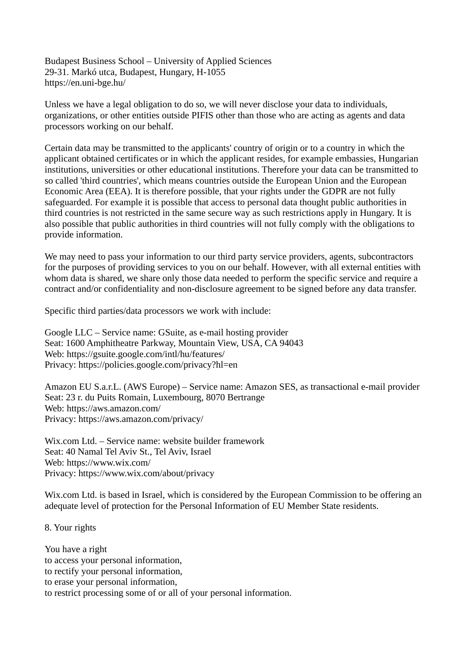Budapest Business School – University of Applied Sciences 29-31. Markó utca, Budapest, Hungary, H-1055 https://en.uni-bge.hu/

Unless we have a legal obligation to do so, we will never disclose your data to individuals, organizations, or other entities outside PIFIS other than those who are acting as agents and data processors working on our behalf.

Certain data may be transmitted to the applicants' country of origin or to a country in which the applicant obtained certificates or in which the applicant resides, for example embassies, Hungarian institutions, universities or other educational institutions. Therefore your data can be transmitted to so called 'third countries', which means countries outside the European Union and the European Economic Area (EEA). It is therefore possible, that your rights under the GDPR are not fully safeguarded. For example it is possible that access to personal data thought public authorities in third countries is not restricted in the same secure way as such restrictions apply in Hungary. It is also possible that public authorities in third countries will not fully comply with the obligations to provide information.

We may need to pass your information to our third party service providers, agents, subcontractors for the purposes of providing services to you on our behalf. However, with all external entities with whom data is shared, we share only those data needed to perform the specific service and require a contract and/or confidentiality and non-disclosure agreement to be signed before any data transfer.

Specific third parties/data processors we work with include:

Google LLC – Service name: GSuite, as e-mail hosting provider Seat: 1600 Amphitheatre Parkway, Mountain View, USA, CA 94043 Web: https://gsuite.google.com/intl/hu/features/ Privacy: https://policies.google.com/privacy?hl=en

Amazon EU S.a.r.L. (AWS Europe) – Service name: Amazon SES, as transactional e-mail provider Seat: 23 r. du Puits Romain, Luxembourg, 8070 Bertrange Web: https://aws.amazon.com/ Privacy: https://aws.amazon.com/privacy/

Wix.com Ltd. – Service name: website builder framework Seat: 40 Namal Tel Aviv St., Tel Aviv, Israel Web: https://www.wix.com/ Privacy: https://www.wix.com/about/privacy

Wix.com Ltd. is based in Israel, which is considered by the European Commission to be offering an adequate level of protection for the Personal Information of EU Member State residents.

8. Your rights

You have a right to access your personal information, to rectify your personal information, to erase your personal information, to restrict processing some of or all of your personal information.